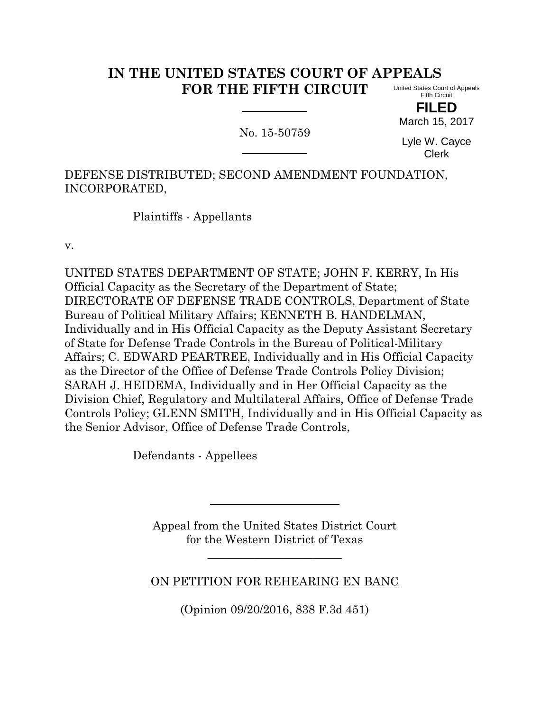## **IN THE UNITED STATES COURT OF APPEALS FOR THE FIFTH CIRCUIT** United States Court of Appeals Fifth Circuit

**FILED** March 15, 2017

No. 15-50759

Lyle W. Cayce Clerk

DEFENSE DISTRIBUTED; SECOND AMENDMENT FOUNDATION, INCORPORATED,

Plaintiffs - Appellants

v.

UNITED STATES DEPARTMENT OF STATE; JOHN F. KERRY, In His Official Capacity as the Secretary of the Department of State; DIRECTORATE OF DEFENSE TRADE CONTROLS, Department of State Bureau of Political Military Affairs; KENNETH B. HANDELMAN, Individually and in His Official Capacity as the Deputy Assistant Secretary of State for Defense Trade Controls in the Bureau of Political-Military Affairs; C. EDWARD PEARTREE, Individually and in His Official Capacity as the Director of the Office of Defense Trade Controls Policy Division; SARAH J. HEIDEMA, Individually and in Her Official Capacity as the Division Chief, Regulatory and Multilateral Affairs, Office of Defense Trade Controls Policy; GLENN SMITH, Individually and in His Official Capacity as the Senior Advisor, Office of Defense Trade Controls,

Defendants - Appellees

Appeal from the United States District Court for the Western District of Texas

## ON PETITION FOR REHEARING EN BANC

\_\_\_\_\_\_\_\_\_\_\_\_\_\_\_\_\_\_\_\_\_\_\_

(Opinion 09/20/2016, 838 F.3d 451)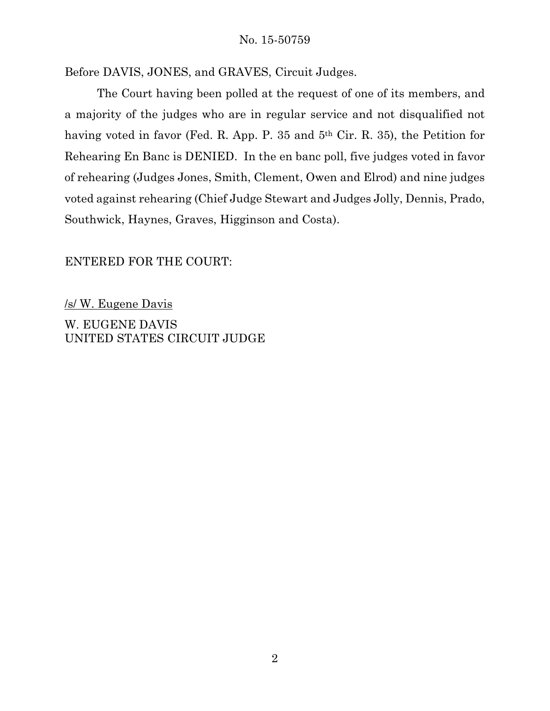## No. 15-50759

Before DAVIS, JONES, and GRAVES, Circuit Judges.

The Court having been polled at the request of one of its members, and a majority of the judges who are in regular service and not disqualified not having voted in favor (Fed. R. App. P. 35 and 5<sup>th</sup> Cir. R. 35), the Petition for Rehearing En Banc is DENIED. In the en banc poll, five judges voted in favor of rehearing (Judges Jones, Smith, Clement, Owen and Elrod) and nine judges voted against rehearing (Chief Judge Stewart and Judges Jolly, Dennis, Prado, Southwick, Haynes, Graves, Higginson and Costa).

## ENTERED FOR THE COURT:

/s/ W. Eugene Davis W. EUGENE DAVIS UNITED STATES CIRCUIT JUDGE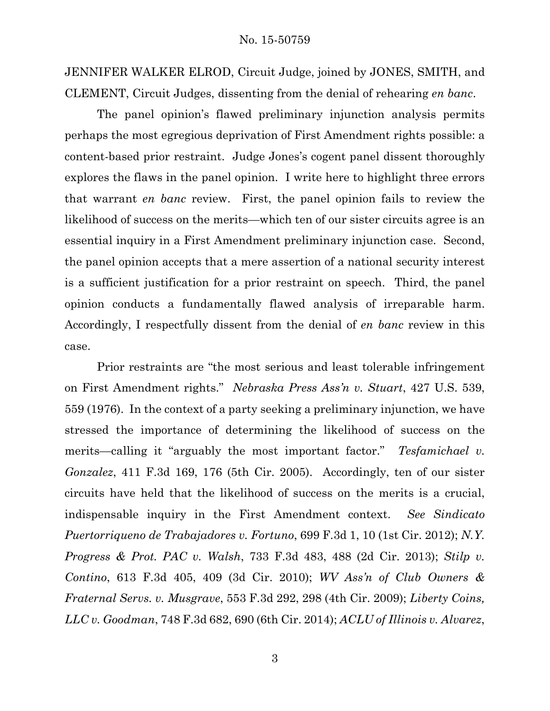JENNIFER WALKER ELROD, Circuit Judge, joined by JONES, SMITH, and CLEMENT, Circuit Judges, dissenting from the denial of rehearing *en banc*.

The panel opinion's flawed preliminary injunction analysis permits perhaps the most egregious deprivation of First Amendment rights possible: a content-based prior restraint. Judge Jones's cogent panel dissent thoroughly explores the flaws in the panel opinion. I write here to highlight three errors that warrant *en banc* review. First, the panel opinion fails to review the likelihood of success on the merits—which ten of our sister circuits agree is an essential inquiry in a First Amendment preliminary injunction case. Second, the panel opinion accepts that a mere assertion of a national security interest is a sufficient justification for a prior restraint on speech. Third, the panel opinion conducts a fundamentally flawed analysis of irreparable harm. Accordingly, I respectfully dissent from the denial of *en banc* review in this case.

Prior restraints are "the most serious and least tolerable infringement on First Amendment rights." *Nebraska Press Ass'n v. Stuart*, 427 U.S. 539, 559 (1976). In the context of a party seeking a preliminary injunction, we have stressed the importance of determining the likelihood of success on the merits—calling it "arguably the most important factor." *Tesfamichael v. Gonzalez*, 411 F.3d 169, 176 (5th Cir. 2005). Accordingly, ten of our sister circuits have held that the likelihood of success on the merits is a crucial, indispensable inquiry in the First Amendment context. *See Sindicato Puertorriqueno de Trabajadores v. Fortuno*, 699 F.3d 1, 10 (1st Cir. 2012); *N.Y. Progress & Prot. PAC v. Walsh*, 733 F.3d 483, 488 (2d Cir. 2013); *Stilp v. Contino*, 613 F.3d 405, 409 (3d Cir. 2010); *WV Ass'n of Club Owners & Fraternal Servs. v. Musgrave*, 553 F.3d 292, 298 (4th Cir. 2009); *Liberty Coins, LLC v. Goodman*, 748 F.3d 682, 690 (6th Cir. 2014); *ACLU of Illinois v. Alvarez*,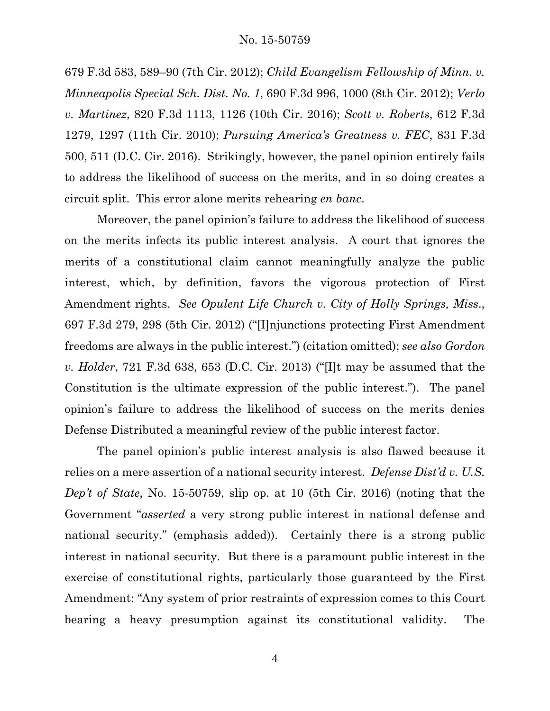679 F.3d 583, 589–90 (7th Cir. 2012); *Child Evangelism Fellowship of Minn. v. Minneapolis Special Sch. Dist. No. 1*, 690 F.3d 996, 1000 (8th Cir. 2012); *Verlo v. Martinez*, 820 F.3d 1113, 1126 (10th Cir. 2016); *Scott v. Roberts*, 612 F.3d 1279, 1297 (11th Cir. 2010); *Pursuing America's Greatness v. FEC*, 831 F.3d 500, 511 (D.C. Cir. 2016). Strikingly, however, the panel opinion entirely fails to address the likelihood of success on the merits, and in so doing creates a circuit split. This error alone merits rehearing *en banc*.

Moreover, the panel opinion's failure to address the likelihood of success on the merits infects its public interest analysis. A court that ignores the merits of a constitutional claim cannot meaningfully analyze the public interest, which, by definition, favors the vigorous protection of First Amendment rights. *See Opulent Life Church v. City of Holly Springs, Miss*., 697 F.3d 279, 298 (5th Cir. 2012) ("[I]njunctions protecting First Amendment freedoms are always in the public interest.") (citation omitted); *see also Gordon v. Holder*, 721 F.3d 638, 653 (D.C. Cir. 2013) ("[I]t may be assumed that the Constitution is the ultimate expression of the public interest."). The panel opinion's failure to address the likelihood of success on the merits denies Defense Distributed a meaningful review of the public interest factor.

The panel opinion's public interest analysis is also flawed because it relies on a mere assertion of a national security interest. *Defense Dist'd v. U.S. Dep't of State*, No. 15-50759, slip op. at 10 (5th Cir. 2016) (noting that the Government "*asserted* a very strong public interest in national defense and national security." (emphasis added)). Certainly there is a strong public interest in national security. But there is a paramount public interest in the exercise of constitutional rights, particularly those guaranteed by the First Amendment: "Any system of prior restraints of expression comes to this Court bearing a heavy presumption against its constitutional validity. The

4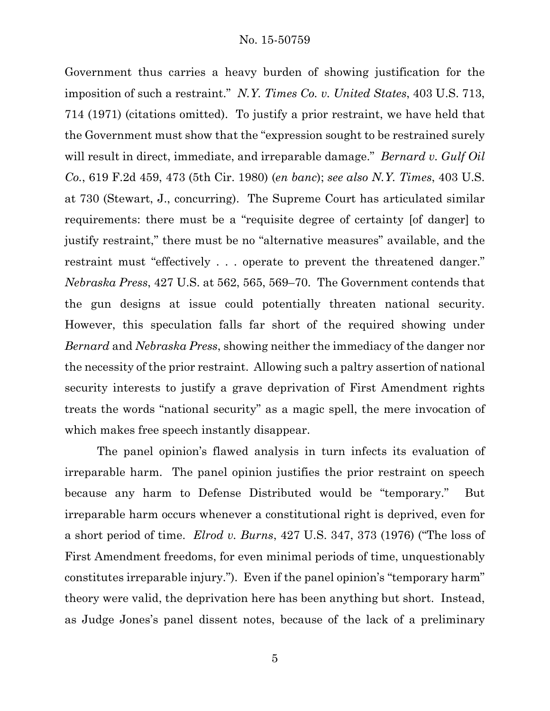Government thus carries a heavy burden of showing justification for the imposition of such a restraint." *N.Y. Times Co. v. United States*, 403 U.S. 713, 714 (1971) (citations omitted). To justify a prior restraint, we have held that the Government must show that the "expression sought to be restrained surely will result in direct, immediate, and irreparable damage." *Bernard v. Gulf Oil Co.*, 619 F.2d 459, 473 (5th Cir. 1980) (*en banc*); *see also N.Y. Times*, 403 U.S. at 730 (Stewart, J., concurring). The Supreme Court has articulated similar requirements: there must be a "requisite degree of certainty [of danger] to justify restraint," there must be no "alternative measures" available, and the restraint must "effectively . . . operate to prevent the threatened danger." *Nebraska Press*, 427 U.S. at 562, 565, 569–70. The Government contends that the gun designs at issue could potentially threaten national security. However, this speculation falls far short of the required showing under *Bernard* and *Nebraska Press*, showing neither the immediacy of the danger nor the necessity of the prior restraint. Allowing such a paltry assertion of national security interests to justify a grave deprivation of First Amendment rights treats the words "national security" as a magic spell, the mere invocation of which makes free speech instantly disappear.

The panel opinion's flawed analysis in turn infects its evaluation of irreparable harm. The panel opinion justifies the prior restraint on speech because any harm to Defense Distributed would be "temporary." But irreparable harm occurs whenever a constitutional right is deprived, even for a short period of time. *Elrod v. Burns*, 427 U.S. 347, 373 (1976) ("The loss of First Amendment freedoms, for even minimal periods of time, unquestionably constitutes irreparable injury."). Even if the panel opinion's "temporary harm" theory were valid, the deprivation here has been anything but short. Instead, as Judge Jones's panel dissent notes, because of the lack of a preliminary